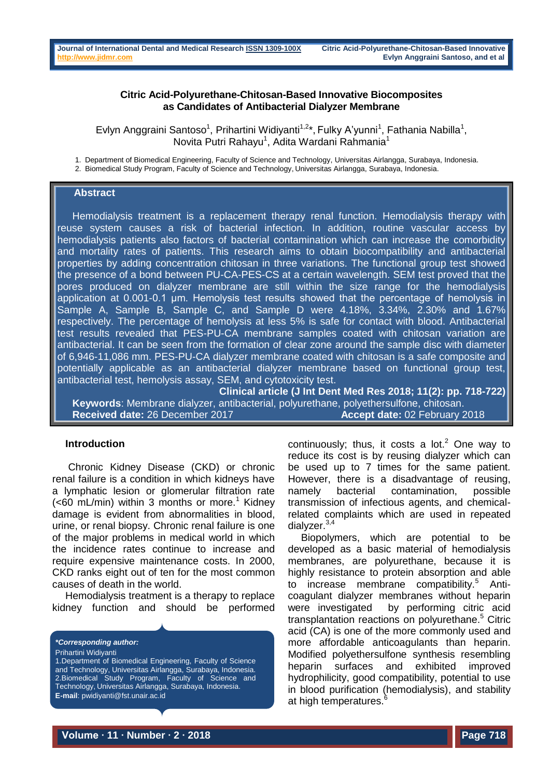### **Citric Acid-Polyurethane-Chitosan-Based Innovative Biocomposites as Candidates of Antibacterial Dialyzer Membrane**

Evlyn Anggraini Santoso<sup>1</sup>, Prihartini Widiyanti<sup>1,2\*</sup>, Fulky A'yunni<sup>1</sup>, Fathania Nabilla<sup>1</sup>, Novita Putri Rahayu<sup>1</sup>, Adita Wardani Rahmania<sup>1</sup>

1. Department of Biomedical Engineering, Faculty of Science and Technology, Universitas Airlangga, Surabaya, Indonesia. 2. Biomedical Study Program, Faculty of Science and Technology, Universitas Airlangga, Surabaya, Indonesia.

#### **Abstract**

Hemodialysis treatment is a replacement therapy renal function. Hemodialysis therapy with reuse system causes a risk of bacterial infection. In addition, routine vascular access by hemodialysis patients also factors of bacterial contamination which can increase the comorbidity and mortality rates of patients. This research aims to obtain biocompatibility and antibacterial properties by adding concentration chitosan in three variations. The functional group test showed the presence of a bond between PU-CA-PES-CS at a certain wavelength. SEM test proved that the pores produced on dialyzer membrane are still within the size range for the hemodialysis application at 0.001-0.1 μm. Hemolysis test results showed that the percentage of hemolysis in Sample A, Sample B, Sample C, and Sample D were 4.18%, 3.34%, 2.30% and 1.67% respectively. The percentage of hemolysis at less 5% is safe for contact with blood. Antibacterial test results revealed that PES-PU-CA membrane samples coated with chitosan variation are antibacterial. It can be seen from the formation of clear zone around the sample disc with diameter of 6,946-11,086 mm. PES-PU-CA dialyzer membrane coated with chitosan is a safe composite and potentially applicable as an antibacterial dialyzer membrane based on functional group test, antibacterial test, hemolysis assay, SEM, and cytotoxicity test.

**Clinical article (J Int Dent Med Res 2018; 11(2): pp. 718-722) Keywords**: Membrane dialyzer, antibacterial, polyurethane, polyethersulfone, chitosan. **Received date:** 26 December 2017 **Accept date:** 02 February 2018

#### **Introduction**

Chronic Kidney Disease (CKD) or chronic renal failure is a condition in which kidneys have a lymphatic lesion or glomerular filtration rate  $\leq 60$  mL/min) within 3 months or more.<sup>1</sup> Kidney damage is evident from abnormalities in blood, urine, or renal biopsy. Chronic renal failure is one of the major problems in medical world in which the incidence rates continue to increase and require expensive maintenance costs. In 2000, CKD ranks eight out of ten for the most common causes of death in the world.

Hemodialysis treatment is a therapy to replace kidney function and should be performed

*\*Corresponding author:*

Prihartini Widiyanti

continuously; thus, it costs a lot. <sup>2</sup> One way to reduce its cost is by reusing dialyzer which can be used up to 7 times for the same patient. However, there is a disadvantage of reusing, namely bacterial contamination, possible transmission of infectious agents, and chemicalrelated complaints which are used in repeated dialyzer.3,4

Biopolymers, which are potential to be developed as a basic material of hemodialysis membranes, are polyurethane, because it is highly resistance to protein absorption and able to increase membrane compatibility.<sup>5</sup> Anticoagulant dialyzer membranes without heparin were investigated by performing citric acid transplantation reactions on polyurethane.<sup>5</sup> Citric acid (CA) is one of the more commonly used and more affordable anticoagulants than heparin. Modified polyethersulfone synthesis resembling heparin surfaces and exhibited improved hydrophilicity, good compatibility, potential to use in blood purification (hemodialysis), and stability at high temperatures.<sup>6</sup>

<sup>1.</sup>Department of Biomedical Engineering, Faculty of Science and Technology, Universitas Airlangga, Surabaya, Indonesia. 2.Biomedical Study Program, Faculty of Science and Technology, Universitas Airlangga, Surabaya, Indonesia. **E-mail**: pwidiyanti@fst.unair.ac.id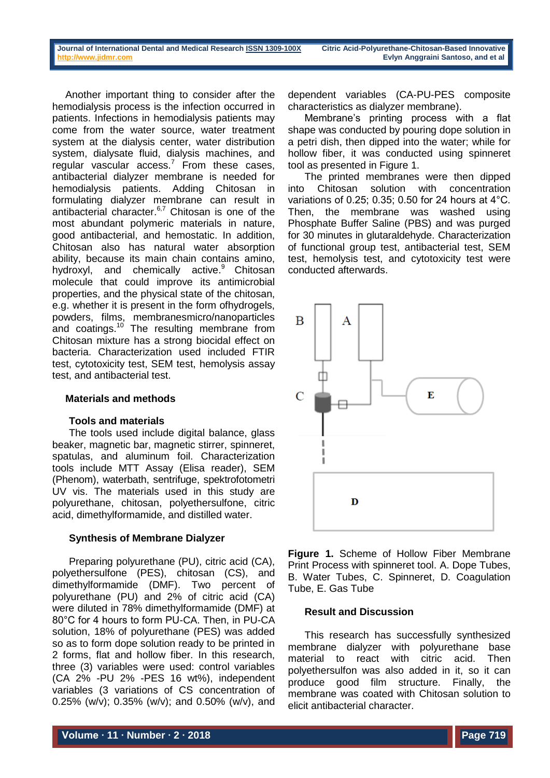Another important thing to consider after the hemodialysis process is the infection occurred in patients. Infections in hemodialysis patients may come from the water source, water treatment system at the dialysis center, water distribution system, dialysate fluid, dialysis machines, and regular vascular  $access.<sup>7</sup>$  From these cases, antibacterial dialyzer membrane is needed for hemodialysis patients. Adding Chitosan in formulating dialyzer membrane can result in antibacterial character.<sup>6,7</sup> Chitosan is one of the most abundant polymeric materials in nature, good antibacterial, and hemostatic. In addition, Chitosan also has natural water absorption ability, because its main chain contains amino, hydroxyl, and chemically active.<sup>9</sup> Chitosan molecule that could improve its antimicrobial properties, and the physical state of the chitosan, e.g. whether it is present in the form ofhydrogels, powders, films, membranesmicro/nanoparticles and coatings.<sup>10</sup> The resulting membrane from Chitosan mixture has a strong biocidal effect on bacteria. Characterization used included FTIR test, cytotoxicity test, SEM test, hemolysis assay test, and antibacterial test.

# **Materials and methods**

# **Tools and materials**

The tools used include digital balance, glass beaker, magnetic bar, magnetic stirrer, spinneret, spatulas, and aluminum foil. Characterization tools include MTT Assay (Elisa reader), SEM (Phenom), waterbath, sentrifuge, spektrofotometri UV vis. The materials used in this study are polyurethane, chitosan, polyethersulfone, citric acid, dimethylformamide, and distilled water.

# **Synthesis of Membrane Dialyzer**

Preparing polyurethane (PU), citric acid (CA), polyethersulfone (PES), chitosan (CS), and dimethylformamide (DMF). Two percent of polyurethane (PU) and 2% of citric acid (CA) were diluted in 78% dimethylformamide (DMF) at 80°C for 4 hours to form PU-CA. Then, in PU-CA solution, 18% of polyurethane (PES) was added so as to form dope solution ready to be printed in 2 forms, flat and hollow fiber. In this research, three (3) variables were used: control variables (CA 2% -PU 2% -PES 16 wt%), independent variables (3 variations of CS concentration of 0.25% (w/v); 0.35% (w/v); and 0.50% (w/v), and

dependent variables (CA-PU-PES composite characteristics as dialyzer membrane).

Membrane's printing process with a flat shape was conducted by pouring dope solution in a petri dish, then dipped into the water; while for hollow fiber, it was conducted using spinneret tool as presented in Figure 1.

The printed membranes were then dipped into Chitosan solution with concentration variations of 0.25; 0.35; 0.50 for 24 hours at 4°C. Then, the membrane was washed using Phosphate Buffer Saline (PBS) and was purged for 30 minutes in glutaraldehyde. Characterization of functional group test, antibacterial test, SEM test, hemolysis test, and cytotoxicity test were conducted afterwards.



**Figure 1.** Scheme of Hollow Fiber Membrane Print Process with spinneret tool. A. Dope Tubes, B. Water Tubes, C. Spinneret, D. Coagulation Tube, E. Gas Tube

# **Result and Discussion**

This research has successfully synthesized membrane dialyzer with polyurethane base material to react with citric acid. Then polyethersulfon was also added in it, so it can produce good film structure. Finally, the membrane was coated with Chitosan solution to elicit antibacterial character.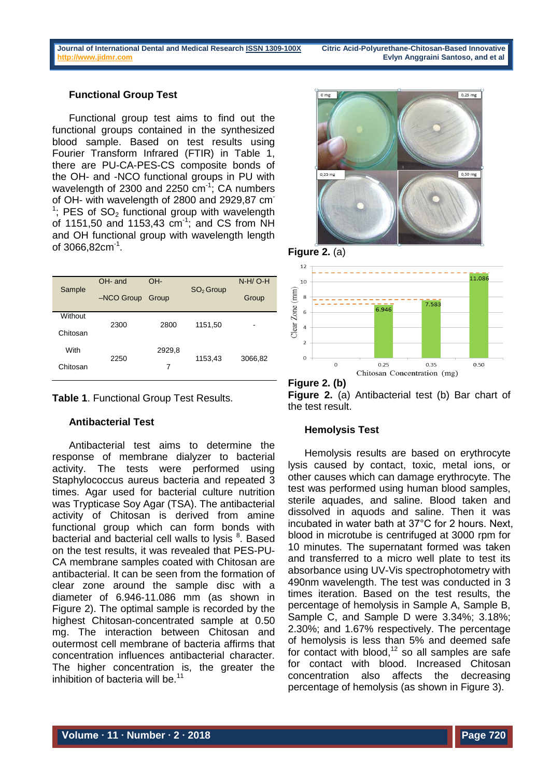### **Functional Group Test**

Functional group test aims to find out the functional groups contained in the synthesized blood sample. Based on test results using Fourier Transform Infrared (FTIR) in Table 1, there are PU-CA-PES-CS composite bonds of the OH- and -NCO functional groups in PU with wavelength of 2300 and 2250  $cm<sup>-1</sup>$ ; CA numbers of OH- with wavelength of 2800 and 2929,87 cm<sup>-</sup>  $1$ ; PES of SO<sub>2</sub> functional group with wavelength of 1151,50 and 1153,43  $cm^{-1}$ ; and CS from NH and OH functional group with wavelength length of 3066,82cm<sup>-1</sup>.

| Sample   | OH- and      | OH-    | $SO2$ Group | $N-H/O-H$ |
|----------|--------------|--------|-------------|-----------|
|          | $-NCO$ Group | Group  |             | Group     |
| Without  | 2300         | 2800   | 1151,50     | -         |
| Chitosan |              |        |             |           |
| With     | 2250         | 2929,8 | 1153,43     | 3066,82   |
| Chitosan |              | 7      |             |           |



# **Antibacterial Test**

Antibacterial test aims to determine the response of membrane dialyzer to bacterial activity. The tests were performed using Staphylococcus aureus bacteria and repeated 3 times. Agar used for bacterial culture nutrition was Trypticase Soy Agar (TSA). The antibacterial activity of Chitosan is derived from amine functional group which can form bonds with bacterial and bacterial cell walls to lysis<sup>8</sup>. Based on the test results, it was revealed that PES-PU-CA membrane samples coated with Chitosan are antibacterial. It can be seen from the formation of clear zone around the sample disc with a diameter of 6.946-11.086 mm (as shown in Figure 2). The optimal sample is recorded by the highest Chitosan-concentrated sample at 0.50 mg. The interaction between Chitosan and outermost cell membrane of bacteria affirms that concentration influences antibacterial character. The higher concentration is, the greater the inhibition of bacteria will be.<sup>11</sup>







# **Hemolysis Test**

Hemolysis results are based on erythrocyte lysis caused by contact, toxic, metal ions, or other causes which can damage erythrocyte. The test was performed using human blood samples, sterile aquades, and saline. Blood taken and dissolved in aquods and saline. Then it was incubated in water bath at 37°C for 2 hours. Next, blood in microtube is centrifuged at 3000 rpm for 10 minutes. The supernatant formed was taken and transferred to a micro well plate to test its absorbance using UV-Vis spectrophotometry with 490nm wavelength. The test was conducted in 3 times iteration. Based on the test results, the percentage of hemolysis in Sample A, Sample B, Sample C, and Sample D were 3.34%; 3.18%; 2.30%; and 1.67% respectively. The percentage of hemolysis is less than 5% and deemed safe for contact with blood, $12$  so all samples are safe for contact with blood. Increased Chitosan concentration also affects the decreasing percentage of hemolysis (as shown in Figure 3).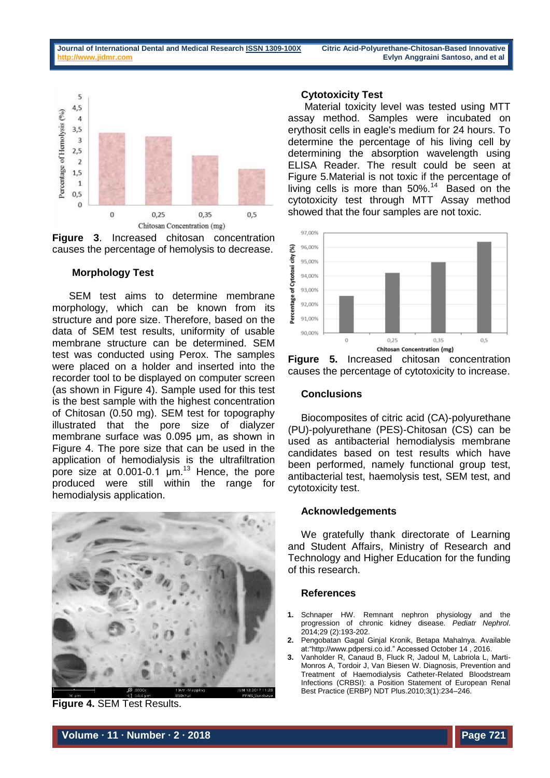



# **Morphology Test**

SEM test aims to determine membrane morphology, which can be known from its structure and pore size. Therefore, based on the data of SEM test results, uniformity of usable membrane structure can be determined. SEM test was conducted using Perox. The samples were placed on a holder and inserted into the recorder tool to be displayed on computer screen (as shown in Figure 4). Sample used for this test is the best sample with the highest concentration of Chitosan (0.50 mg). SEM test for topography illustrated that the pore size of dialyzer membrane surface was 0.095 μm, as shown in Figure 4. The pore size that can be used in the application of hemodialysis is the ultrafiltration pore size at 0.001-0.1  $\mu$ m.<sup>13</sup> Hence, the pore produced were still within the range for hemodialysis application.



**Figure 4.** SEM Test Results.

#### **Cytotoxicity Test**

Material toxicity level was tested using MTT assay method. Samples were incubated on erythosit cells in eagle's medium for 24 hours. To determine the percentage of his living cell by determining the absorption wavelength using ELISA Reader. The result could be seen at Figure 5.Material is not toxic if the percentage of living cells is more than  $50\%$ .<sup>14</sup> Based on the cytotoxicity test through MTT Assay method showed that the four samples are not toxic.



**Figure 5.** Increased chitosan concentration causes the percentage of cytotoxicity to increase.

#### **Conclusions**

Biocomposites of citric acid (CA)-polyurethane (PU)-polyurethane (PES)-Chitosan (CS) can be used as antibacterial hemodialysis membrane candidates based on test results which have been performed, namely functional group test, antibacterial test, haemolysis test, SEM test, and cytotoxicity test.

#### **Acknowledgements**

We gratefully thank directorate of Learning and Student Affairs, Ministry of Research and Technology and Higher Education for the funding of this research.

#### **References**

- **1.** Schnaper HW. Remnant nephron physiology and the progression of chronic kidney disease. *Pediatr Nephrol*. 2014;29 (2):193-202.
- **2.** Pengobatan Gagal Ginjal Kronik, Betapa Mahalnya. Available at:["http://www.pdpersi.co.id."](http://www.pdpersi.co.id/) Accessed October 14 , 2016.
- **3.** Vanholder R, Canaud B, Fluck R, Jadoul M, Labriola L, Marti-Monros A, Tordoir J, Van Biesen W. Diagnosis, Prevention and Treatment of Haemodialysis Catheter-Related Bloodstream Infections (CRBSI): a Position Statement of European Renal Best Practice (ERBP) NDT Plus.2010;3(1):234–246.